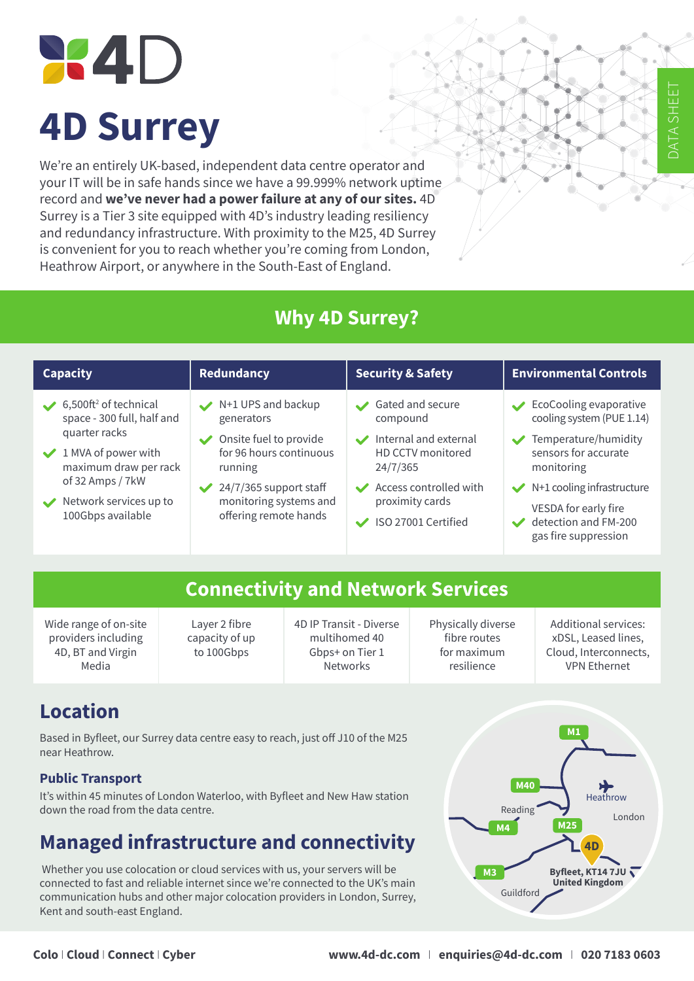# **X4D 4D Surrey**

We're an entirely UK-based, independent data centre operator and your IT will be in safe hands since we have a 99.999% network uptime record and **we've never had a power failure at any of our sites.** 4D Surrey is a Tier 3 site equipped with 4D's industry leading resiliency and redundancy infrastructure. With proximity to the M25, 4D Surrey is convenient for you to reach whether you're coming from London, Heathrow Airport, or anywhere in the South-East of England.

#### **Why 4D Surrey?**

#### **Capacity Redundancy Security & Safety Environmental Controls** 6,500ft<sup>2</sup> of technical space - 300 full, half and quarter racks  $\vee$  1 MVA of power with maximum draw per rack of 32 Amps / 7kW Network services up to 100Gbps available N+1 UPS and backup generators Onsite fuel to provide for 96 hours continuous running  $\sqrt{24/7/365}$  support staff monitoring systems and offering remote hands Gated and secure compound Internal and external HD CCTV monitored 24/7/365 Access controlled with proximity cards ISO 27001 Certified EcoCooling evaporative cooling system (PUE 1.14) Temperature/humidity sensors for accurate monitoring  $\blacktriangleright$  N+1 cooling infrastructure VESDA for early fire detection and FM-200 gas fire suppression

#### **Connectivity and Network Services**

Wide range of on-site providers including 4D, BT and Virgin Media

Layer 2 fibre capacity of up to 100Gbps

4D IP Transit - Diverse multihomed 40 Gbps+ on Tier 1 Networks

Physically diverse fibre routes for maximum resilience

Additional services: xDSL, Leased lines, Cloud, Interconnects, VPN Ethernet

DATA SHEET

HS<br>A

EE

## **Location**

Based in Byfleet, our Surrey data centre easy to reach, just off J10 of the M25 near Heathrow.

#### **Public Transport**

It's within 45 minutes of London Waterloo, with Byfleet and New Haw station down the road from the data centre.

## **Managed infrastructure and connectivity**

 Whether you use colocation or cloud services with us, your servers will be connected to fast and reliable internet since we're connected to the UK's main communication hubs and other major colocation providers in London, Surrey, Kent and south-east England.